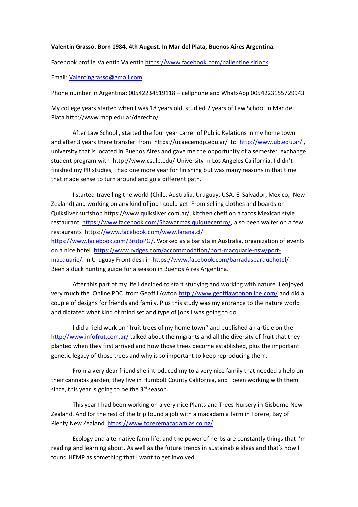## **Valentin Grasso. Born 1984, 4th August. In Mar del Plata, Buenos Aires Argentina.**

Facebook profile Valentin Valenti[n https://www.facebook.com/ballentine.sirlock](https://www.facebook.com/ballentine.sirlock)

Email: [Valentingrasso@gmail.com](mailto:Valentingrasso@gmail.com)

Phone number in Argentina: 00542234519118 – cellphone and WhatsApp 0054223155729943

My college years started when I was 18 years old, studied 2 years of Law School in Mar del Plata http://www.mdp.edu.ar/derecho/

After Law School , started the four year carrer of Public Relations in my home town and after 3 years there transfer from https://ucaecemdp.edu.ar/ to <http://www.ub.edu.ar/> , university that is located in Buenos Aires and gave me the opportunity of a semester exchange student program with http://www.csulb.edu/ University in Los Angeles California. I didn't finished my PR studies, I had one more year for finishing but was many reasons in that time that made sense to turn around and go a different path.

I started travelling the world (Chile, Australia, Uruguay, USA, El Salvador, Mexico, New Zealand) and working on any kind of job I could get. From selling clothes and boards on Quiksilver surfshop https://www.quiksilver.com.ar/, kitchen cheff on a tacos Mexican style restaurant [https://www.facebook.com/Shawarmasiquiquecentro/,](https://www.facebook.com/Shawarmasiquiquecentro/) also been waiter on a few restaurants <https://www.facebook.com/www.larana.cl/> [https://www.facebook.com/BrutoPG/.](https://www.facebook.com/BrutoPG/) Worked as a barista in Australia, organization of events on a nice hotel [https://www.rydges.com/accommodation/port-macquarie-nsw/port](https://www.rydges.com/accommodation/port-macquarie-nsw/port-macquarie/)[macquarie/.](https://www.rydges.com/accommodation/port-macquarie-nsw/port-macquarie/) In Uruguay Front desk in [https://www.facebook.com/barradasparquehotel/.](https://www.facebook.com/barradasparquehotel/) Been a duck hunting guide for a season in Buenos Aires Argentina.

After this part of my life I decided to start studying and working with nature. I enjoyed very much the Online PDC from Geoff LAwton<http://www.geofflawtononline.com/> and did a couple of designs for friends and family. Plus this study was my entrance to the nature world and dictated what kind of mind set and type of jobs I was going to do.

I did a field work on "fruit trees of my home town" and published an article on the <http://www.infofrut.com.ar/> talked about the migrants and all the diversity of fruit that they planted when they first arrived and how those trees become established, plus the important genetic legacy of those trees and why is so important to keep reproducing them.

From a very dear friend she introduced my to a very nice family that needed a help on their cannabis garden, they live in Humbolt County California, and I been working with them since, this year is going to be the  $3<sup>rd</sup>$  season.

This year I had been working on a very nice Plants and Trees Nursery in Gisborne New Zealand. And for the rest of the trip found a job with a macadamia farm in Torere, Bay of Plenty New Zealand <https://www.toreremacadamias.co.nz/>

Ecology and alternative farm life, and the power of herbs are constantly things that I'm reading and learning about. As well as the future trends in sustainable ideas and that's how I found HEMP as something that I want to get involved.